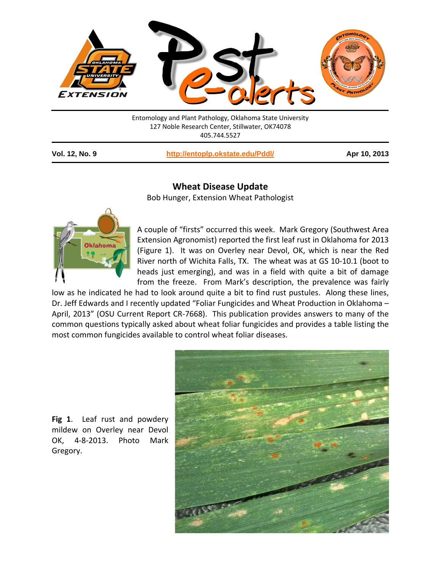

Entomology and Plant Pathology, Oklahoma State University 127 Noble Research Center, Stillwater, OK74078 405.744.5527

**Vol. 12, No. 9 <http://entoplp.okstate.edu/Pddl/> Apr 10, 2013**

## **Wheat Disease Update**

Bob Hunger, Extension Wheat Pathologist



A couple of "firsts" occurred this week. Mark Gregory (Southwest Area Extension Agronomist) reported the first leaf rust in Oklahoma for 2013 (Figure 1). It was on Overley near Devol, OK, which is near the Red River north of Wichita Falls, TX. The wheat was at GS 10-10.1 (boot to heads just emerging), and was in a field with quite a bit of damage from the freeze. From Mark's description, the prevalence was fairly

low as he indicated he had to look around quite a bit to find rust pustules. Along these lines, Dr. Jeff Edwards and I recently updated "Foliar Fungicides and Wheat Production in Oklahoma – April, 2013" (OSU Current Report CR-7668). This publication provides answers to many of the common questions typically asked about wheat foliar fungicides and provides a table listing the most common fungicides available to control wheat foliar diseases.



**Fig 1**. Leaf rust and powdery mildew on Overley near Devol OK, 4-8-2013. Photo Mark Gregory.